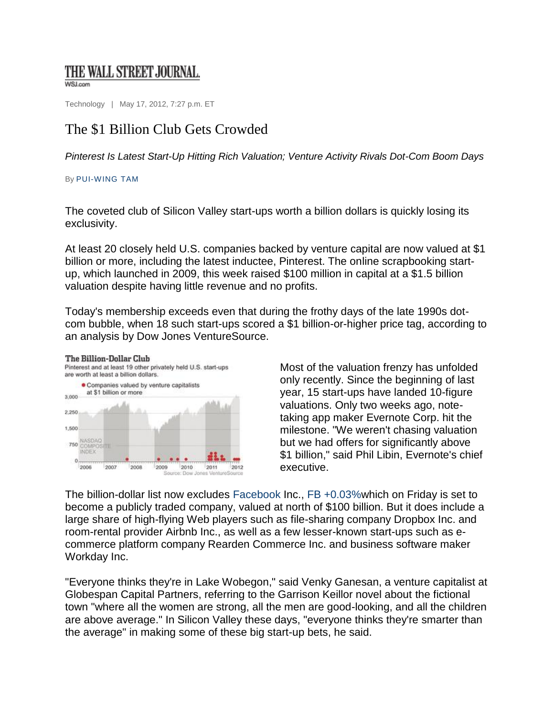## THE WALL STREET JOURNAL.

WSJ.com

Technology | May 17, 2012, 7:27 p.m. ET

## The \$1 Billion Club Gets Crowded

*Pinterest Is Latest Start-Up Hitting Rich Valuation; Venture Activity Rivals Dot-Com Boom Days* 

## By PUI-WING TAM

The Billion-Dollar Club

The coveted club of Silicon Valley start-ups worth a billion dollars is quickly losing its exclusivity.

At least 20 closely held U.S. companies backed by venture capital are now valued at \$1 billion or more, including the latest inductee, Pinterest. The online scrapbooking startup, which launched in 2009, this week raised \$100 million in capital at a \$1.5 billion valuation despite having little revenue and no profits.

Today's membership exceeds even that during the frothy days of the late 1990s dotcom bubble, when 18 such start-ups scored a \$1 billion-or-higher price tag, according to an analysis by Dow Jones VentureSource.



Most of the valuation frenzy has unfolded only recently. Since the beginning of last year, 15 start-ups have landed 10-figure valuations. Only two weeks ago, notetaking app maker Evernote Corp. hit the milestone. "We weren't chasing valuation but we had offers for significantly above \$1 billion," said Phil Libin, Evernote's chief executive.

The billion-dollar list now excludes Facebook Inc., FB +0.03%which on Friday is set to become a publicly traded company, valued at north of \$100 billion. But it does include a large share of high-flying Web players such as file-sharing company Dropbox Inc. and room-rental provider Airbnb Inc., as well as a few lesser-known start-ups such as ecommerce platform company Rearden Commerce Inc. and business software maker Workday Inc.

"Everyone thinks they're in Lake Wobegon," said Venky Ganesan, a venture capitalist at Globespan Capital Partners, referring to the Garrison Keillor novel about the fictional town "where all the women are strong, all the men are good-looking, and all the children are above average." In Silicon Valley these days, "everyone thinks they're smarter than the average" in making some of these big start-up bets, he said.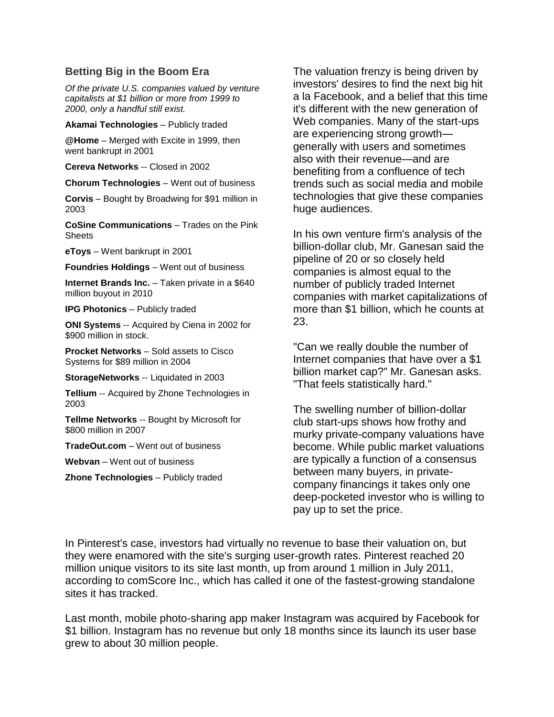## **Betting Big in the Boom Era**

*Of the private U.S. companies valued by venture capitalists at \$1 billion or more from 1999 to 2000, only a handful still exist.* 

**Akamai Technologies** – Publicly traded

**@Home** – Merged with Excite in 1999, then went bankrupt in 2001

**Cereva Networks** -- Closed in 2002

**Chorum Technologies** – Went out of business

**Corvis** – Bought by Broadwing for \$91 million in 2003

**CoSine Communications** – Trades on the Pink **Sheets** 

**eToys** – Went bankrupt in 2001

**Foundries Holdings** – Went out of business

**Internet Brands Inc.** – Taken private in a \$640 million buyout in 2010

**IPG Photonics** – Publicly traded

**ONI Systems** -- Acquired by Ciena in 2002 for \$900 million in stock.

**Procket Networks** – Sold assets to Cisco Systems for \$89 million in 2004

**StorageNetworks** -- Liquidated in 2003

**Tellium** -- Acquired by Zhone Technologies in 2003

**Tellme Networks** -- Bought by Microsoft for \$800 million in 2007

**TradeOut.com** – Went out of business

**Webvan** – Went out of business

**Zhone Technologies** – Publicly traded

The valuation frenzy is being driven by investors' desires to find the next big hit a la Facebook, and a belief that this time it's different with the new generation of Web companies. Many of the start-ups are experiencing strong growth generally with users and sometimes also with their revenue—and are benefiting from a confluence of tech trends such as social media and mobile technologies that give these companies huge audiences.

In his own venture firm's analysis of the billion-dollar club, Mr. Ganesan said the pipeline of 20 or so closely held companies is almost equal to the number of publicly traded Internet companies with market capitalizations of more than \$1 billion, which he counts at 23.

"Can we really double the number of Internet companies that have over a \$1 billion market cap?" Mr. Ganesan asks. "That feels statistically hard."

The swelling number of billion-dollar club start-ups shows how frothy and murky private-company valuations have become. While public market valuations are typically a function of a consensus between many buyers, in privatecompany financings it takes only one deep-pocketed investor who is willing to pay up to set the price.

In Pinterest's case, investors had virtually no revenue to base their valuation on, but they were enamored with the site's surging user-growth rates. Pinterest reached 20 million unique visitors to its site last month, up from around 1 million in July 2011, according to comScore Inc., which has called it one of the fastest-growing standalone sites it has tracked.

Last month, mobile photo-sharing app maker Instagram was acquired by Facebook for \$1 billion. Instagram has no revenue but only 18 months since its launch its user base grew to about 30 million people.